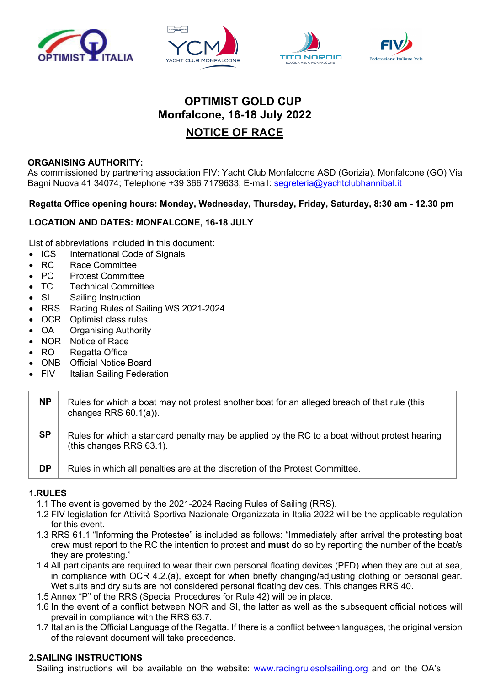







# **OPTIMIST GOLD CUP Monfalcone, 16-18 July 2022**

## **NOTICE OF RACE**

## **ORGANISING AUTHORITY:**

As commissioned by partnering association FIV: Yacht Club Monfalcone ASD (Gorizia). Monfalcone (GO) Via Bagni Nuova 41 34074; Telephone +39 366 7179633; E-mail: segreteria@yachtclubhannibal.it

## **Regatta Office opening hours: Monday, Wednesday, Thursday, Friday, Saturday, 8:30 am - 12.30 pm**

## **LOCATION AND DATES: MONFALCONE, 16-18 JULY**

List of abbreviations included in this document:

- ICS International Code of Signals
- RC Race Committee
- PC Protest Committee
- TC Technical Committee
- SI Sailing Instruction
- RRS Racing Rules of Sailing WS 2021-2024
- OCR Optimist class rules
- OA Organising Authority
- NOR Notice of Race
- RO Regatta Office
- ONB Official Notice Board
- FIV Italian Sailing Federation

| <b>NP</b> | Rules for which a boat may not protest another boat for an alleged breach of that rule (this<br>changes RRS $60.1(a)$ ).  |
|-----------|---------------------------------------------------------------------------------------------------------------------------|
| <b>SP</b> | Rules for which a standard penalty may be applied by the RC to a boat without protest hearing<br>(this changes RRS 63.1). |
| <b>DP</b> | Rules in which all penalties are at the discretion of the Protest Committee.                                              |

## **1.RULES**

- 1.1 The event is governed by the 2021-2024 Racing Rules of Sailing (RRS).
- 1.2 FIV legislation for Attività Sportiva Nazionale Organizzata in Italia 2022 will be the applicable regulation for this event.
- 1.3 RRS 61.1 "Informing the Protestee" is included as follows: "Immediately after arrival the protesting boat crew must report to the RC the intention to protest and **must** do so by reporting the number of the boat/s they are protesting."
- 1.4 All participants are required to wear their own personal floating devices (PFD) when they are out at sea, in compliance with OCR 4.2.(a), except for when briefly changing/adjusting clothing or personal gear. Wet suits and dry suits are not considered personal floating devices. This changes RRS 40.
- 1.5 Annex "P" of the RRS (Special Procedures for Rule 42) will be in place.
- 1.6 In the event of a conflict between NOR and SI, the latter as well as the subsequent official notices will prevail in compliance with the RRS 63.7.
- 1.7 Italian is the Official Language of the Regatta. If there is a conflict between languages, the original version of the relevant document will take precedence.

## **2.SAILING INSTRUCTIONS**

Sailing instructions will be available on the website: www.racingrulesofsailing.org and on the OA's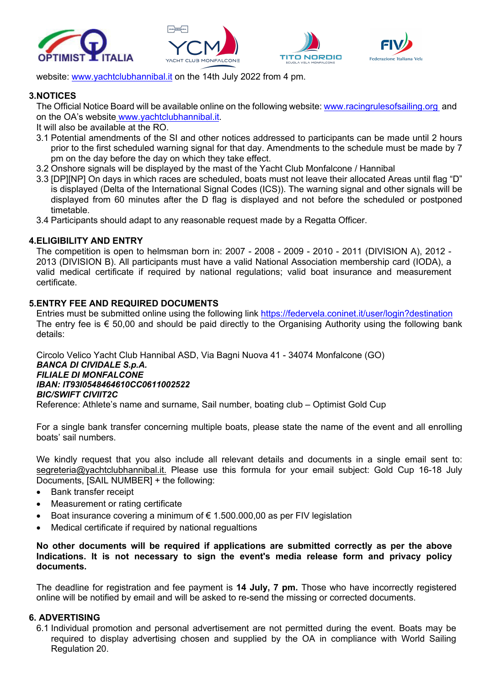



website: www.yachtclubhannibal.it on the 14th July 2022 from 4 pm.

#### **3.NOTICES**

The Official Notice Board will be available online on the following website: www.racingrulesofsailing.org and on the OA's website www.yachtclubhannibal.it.

It will also be available at the RO.

- 3.1 Potential amendments of the SI and other notices addressed to participants can be made until 2 hours prior to the first scheduled warning signal for that day. Amendments to the schedule must be made by 7 pm on the day before the day on which they take effect.
- 3.2 Onshore signals will be displayed by the mast of the Yacht Club Monfalcone / Hannibal
- 3.3 [DP][NP] On days in which races are scheduled, boats must not leave their allocated Areas until flag "D" is displayed (Delta of the International Signal Codes (ICS)). The warning signal and other signals will be displayed from 60 minutes after the D flag is displayed and not before the scheduled or postponed timetable.
- 3.4 Participants should adapt to any reasonable request made by a Regatta Officer.

## **4.ELIGIBILITY AND ENTRY**

The competition is open to helmsman born in: 2007 - 2008 - 2009 - 2010 - 2011 (DIVISION A), 2012 - 2013 (DIVISION B). All participants must have a valid National Association membership card (IODA), a valid medical certificate if required by national regulations; valid boat insurance and measurement certificate.

#### **5.ENTRY FEE AND REQUIRED DOCUMENTS**

Entries must be submitted online using the following link https://federvela.coninet.it/user/login?destination The entry fee is  $\epsilon$  50,00 and should be paid directly to the Organising Authority using the following bank details:

Circolo Velico Yacht Club Hannibal ASD, Via Bagni Nuova 41 - 34074 Monfalcone (GO) *BANCA DI CIVIDALE S.p.A. FILIALE DI MONFALCONE IBAN: IT93I0548464610CC0611002522 BIC/SWIFT CIVIIT2C*

Reference: Athlete's name and surname, Sail number, boating club – Optimist Gold Cup

For a single bank transfer concerning multiple boats, please state the name of the event and all enrolling boats' sail numbers.

We kindly request that you also include all relevant details and documents in a single email sent to: segreteria@yachtclubhannibal.it. Please use this formula for your email subject: Gold Cup 16-18 July Documents, [SAIL NUMBER] + the following:

- Bank transfer receipt
- Measurement or rating certificate
- Boat insurance covering a minimum of  $\epsilon$  1.500.000,00 as per FIV legislation
- Medical certificate if required by national regualtions

#### **No other documents will be required if applications are submitted correctly as per the above Indications. It is not necessary to sign the event's media release form and privacy policy documents.**

The deadline for registration and fee payment is **14 July, 7 pm.** Those who have incorrectly registered online will be notified by email and will be asked to re-send the missing or corrected documents.

#### **6. ADVERTISING**

6.1 Individual promotion and personal advertisement are not permitted during the event. Boats may be required to display advertising chosen and supplied by the OA in compliance with World Sailing Regulation 20.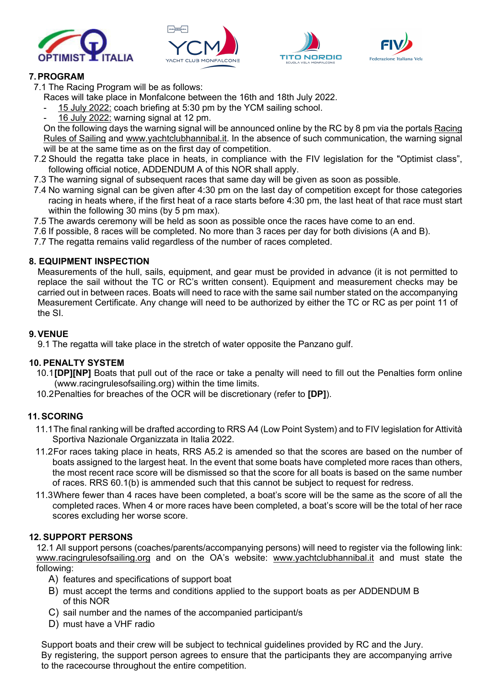





## **7.PROGRAM**

7.1 The Racing Program will be as follows:

Races will take place in Monfalcone between the 16th and 18th July 2022.

- 15 July 2022: coach briefing at 5:30 pm by the YCM sailing school.
- 16 July 2022: warning signal at 12 pm.

On the following days the warning signal will be announced online by the RC by 8 pm via the portals Racing Rules of Sailing and www.yachtclubhannibal.it. In the absence of such communication, the warning signal will be at the same time as on the first day of competition.

- 7.2 Should the regatta take place in heats, in compliance with the FIV legislation for the "Optimist class", following official notice, ADDENDUM A of this NOR shall apply.
- 7.3 The warning signal of subsequent races that same day will be given as soon as possible.
- 7.4 No warning signal can be given after 4:30 pm on the last day of competition except for those categories racing in heats where, if the first heat of a race starts before 4:30 pm, the last heat of that race must start within the following 30 mins (by 5 pm max).

7.5 The awards ceremony will be held as soon as possible once the races have come to an end.

7.6 If possible, 8 races will be completed. No more than 3 races per day for both divisions (A and B).

7.7 The regatta remains valid regardless of the number of races completed.

#### **8. EQUIPMENT INSPECTION**

Measurements of the hull, sails, equipment, and gear must be provided in advance (it is not permitted to replace the sail without the TC or RC's written consent). Equipment and measurement checks may be carried out in between races. Boats will need to race with the same sail number stated on the accompanying Measurement Certificate. Any change will need to be authorized by either the TC or RC as per point 11 of the SI.

#### **9.VENUE**

9.1 The regatta will take place in the stretch of water opposite the Panzano gulf.

## **10. PENALTY SYSTEM**

- 10.1**[DP][NP]** Boats that pull out of the race or take a penalty will need to fill out the Penalties form online (www.racingrulesofsailing.org) within the time limits.
- 10.2Penalties for breaches of the OCR will be discretionary (refer to **[DP]**).

## **11.SCORING**

- 11.1The final ranking will be drafted according to RRS A4 (Low Point System) and to FIV legislation for Attività Sportiva Nazionale Organizzata in Italia 2022.
- 11.2For races taking place in heats, RRS A5.2 is amended so that the scores are based on the number of boats assigned to the largest heat. In the event that some boats have completed more races than others, the most recent race score will be dismissed so that the score for all boats is based on the same number of races. RRS 60.1(b) is ammended such that this cannot be subject to request for redress.
- 11.3Where fewer than 4 races have been completed, a boat's score will be the same as the score of all the completed races. When 4 or more races have been completed, a boat's score will be the total of her race scores excluding her worse score.

#### **12. SUPPORT PERSONS**

12.1 All support persons (coaches/parents/accompanying persons) will need to register via the following link: www.racingrulesofsailing.org and on the OA's website: www.yachtclubhannibal.it and must state the following:

- A) features and specifications of support boat
- B) must accept the terms and conditions applied to the support boats as per ADDENDUM B of this NOR
- C) sail number and the names of the accompanied participant/s
- D) must have a VHF radio

Support boats and their crew will be subject to technical guidelines provided by RC and the Jury. By registering, the support person agrees to ensure that the participants they are accompanying arrive to the racecourse throughout the entire competition.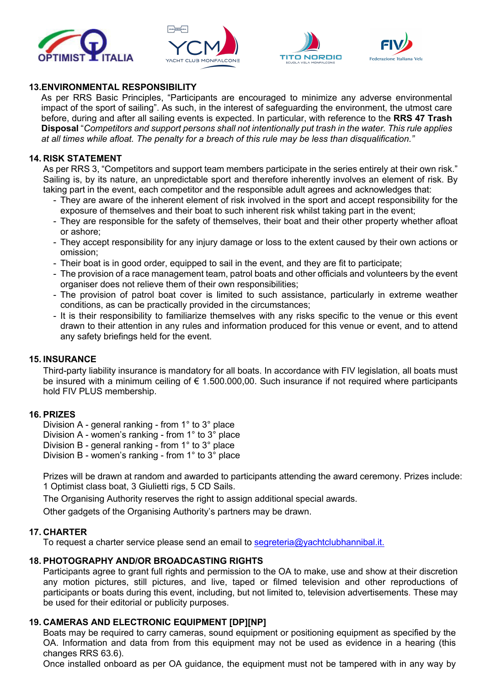





#### **13.ENVIRONMENTAL RESPONSIBILITY**

As per RRS Basic Principles, "Participants are encouraged to minimize any adverse environmental impact of the sport of sailing". As such, in the interest of safeguarding the environment, the utmost care before, during and after all sailing events is expected. In particular, with reference to the **RRS 47 Trash Disposal** "*Competitors and support persons shall not intentionally put trash in the water. This rule applies* at all times while afloat. The penalty for a breach of this rule may be less than disqualification."

#### **14. RISK STATEMENT**

As per RRS 3, "Competitors and support team members participate in the series entirely at their own risk." Sailing is, by its nature, an unpredictable sport and therefore inherently involves an element of risk. By taking part in the event, each competitor and the responsible adult agrees and acknowledges that:

- They are aware of the inherent element of risk involved in the sport and accept responsibility for the exposure of themselves and their boat to such inherent risk whilst taking part in the event;
- They are responsible for the safety of themselves, their boat and their other property whether afloat or ashore;
- They accept responsibility for any injury damage or loss to the extent caused by their own actions or omission;
- Their boat is in good order, equipped to sail in the event, and they are fit to participate;
- The provision of a race management team, patrol boats and other officials and volunteers by the event organiser does not relieve them of their own responsibilities;
- The provision of patrol boat cover is limited to such assistance, particularly in extreme weather conditions, as can be practically provided in the circumstances;
- It is their responsibility to familiarize themselves with any risks specific to the venue or this event drawn to their attention in any rules and information produced for this venue or event, and to attend any safety briefings held for the event.

#### **15. INSURANCE**

Third-party liability insurance is mandatory for all boats. In accordance with FIV legislation, all boats must be insured with a minimum ceiling of € 1.500.000,00. Such insurance if not required where participants hold FIV PLUS membership.

#### **16. PRIZES**

Division A - general ranking - from 1° to 3° place

Division A - women's ranking - from 1° to 3° place

Division B - general ranking - from 1° to 3° place

Division B - women's ranking - from 1° to 3° place

Prizes will be drawn at random and awarded to participants attending the award ceremony. Prizes include: 1 Optimist class boat, 3 Giulietti rigs, 5 CD Sails.

The Organising Authority reserves the right to assign additional special awards.

Other gadgets of the Organising Authority's partners may be drawn.

#### **17. CHARTER**

To request a charter service please send an email to segreteria@yachtclubhannibal.it.

#### **18. PHOTOGRAPHY AND/OR BROADCASTING RIGHTS**

Participants agree to grant full rights and permission to the OA to make, use and show at their discretion any motion pictures, still pictures, and live, taped or filmed television and other reproductions of participants or boats during this event, including, but not limited to, television advertisements. These may be used for their editorial or publicity purposes.

#### **19. CAMERAS AND ELECTRONIC EQUIPMENT [DP][NP]**

Boats may be required to carry cameras, sound equipment or positioning equipment as specified by the OA. Information and data from from this equipment may not be used as evidence in a hearing (this changes RRS 63.6).

Once installed onboard as per OA guidance, the equipment must not be tampered with in any way by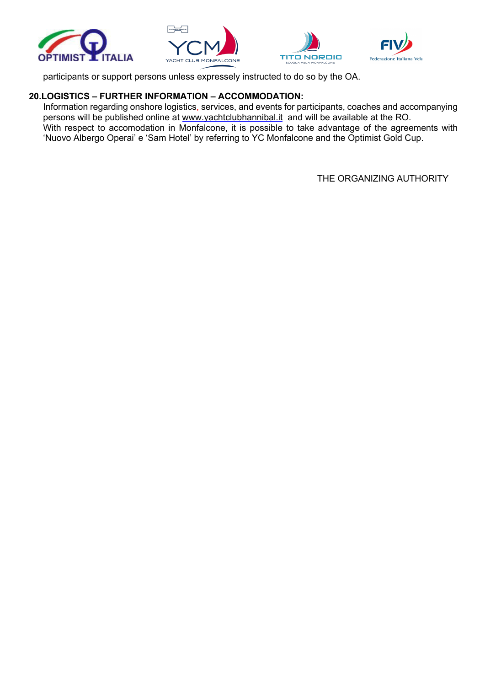



participants or support persons unless expressely instructed to do so by the OA.

## **20.LOGISTICS – FURTHER INFORMATION – ACCOMMODATION:**

Information regarding onshore logistics, services, and events for participants, coaches and accompanying persons will be published online at www.yachtclubhannibal.it and will be available at the RO. With respect to accomodation in Monfalcone, it is possible to take advantage of the agreements with 'Nuovo Albergo Operai' e 'Sam Hotel' by referring to YC Monfalcone and the Optimist Gold Cup.

THE ORGANIZING AUTHORITY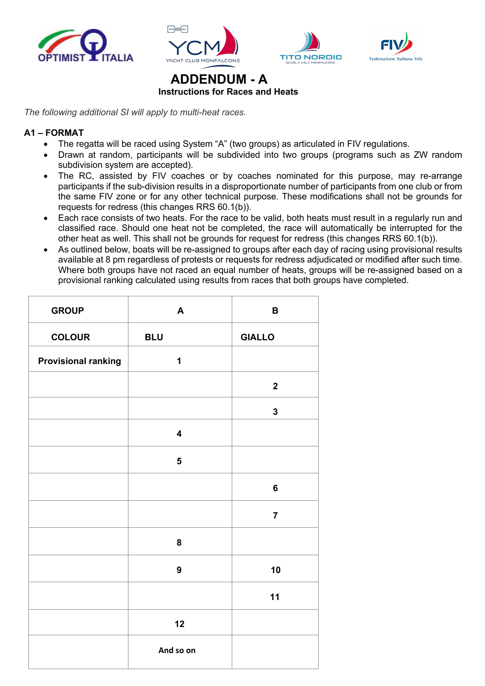







#### **ADDENDUM - A Instructions for Races and Heats**

*The following additional SI will apply to multi-heat races.*

#### **A1 – FORMAT**

- The regatta will be raced using System "A" (two groups) as articulated in FIV regulations.
- Drawn at random, participants will be subdivided into two groups (programs such as ZW random subdivision system are accepted).
- The RC, assisted by FIV coaches or by coaches nominated for this purpose, may re-arrange participants if the sub-division results in a disproportionate number of participants from one club or from the same FIV zone or for any other technical purpose. These modifications shall not be grounds for requests for redress (this changes RRS 60.1(b)).
- Each race consists of two heats. For the race to be valid, both heats must result in a regularly run and classified race. Should one heat not be completed, the race will automatically be interrupted for the other heat as well. This shall not be grounds for request for redress (this changes RRS 60.1(b)).
- As outlined below, boats will be re-assigned to groups after each day of racing using provisional results available at 8 pm regardless of protests or requests for redress adjudicated or modified after such time. Where both groups have not raced an equal number of heats, groups will be re-assigned based on a provisional ranking calculated using results from races that both groups have completed.

| <b>GROUP</b>               | A                       | $\mathbf B$    |
|----------------------------|-------------------------|----------------|
| <b>COLOUR</b>              | <b>BLU</b>              | <b>GIALLO</b>  |
| <b>Provisional ranking</b> | $\mathbf 1$             |                |
|                            |                         | $\mathbf{2}$   |
|                            |                         | $\mathbf{3}$   |
|                            | $\overline{\mathbf{4}}$ |                |
|                            | $\overline{\mathbf{5}}$ |                |
|                            |                         | $\bf 6$        |
|                            |                         | $\overline{7}$ |
|                            | 8                       |                |
|                            | $\boldsymbol{9}$        | 10             |
|                            |                         | 11             |
|                            | 12                      |                |
|                            | And so on               |                |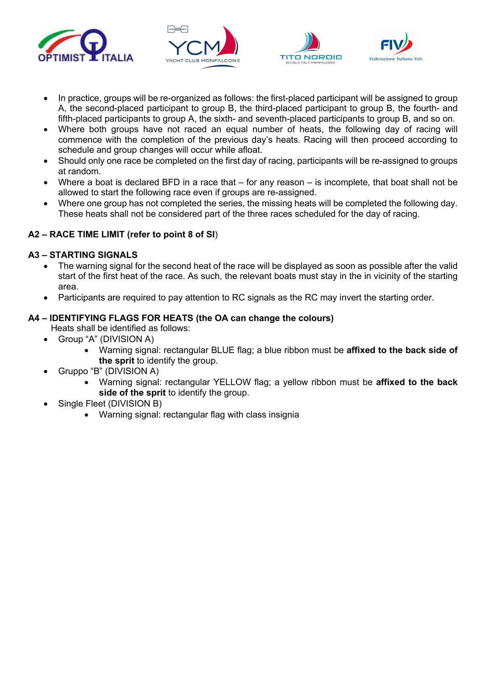





- In practice, groups will be re-organized as follows: the first-placed participant will be assigned to group A, the second-placed participant to group B, the third-placed participant to group B, the fourth- and fifth-placed participants to group A, the sixth- and seventh-placed participants to group B, and so on.
- Where both groups have not raced an equal number of heats, the following day of racing will commence with the completion of the previous day's heats. Racing will then proceed according to schedule and group changes will occur while afloat.
- Should only one race be completed on the first day of racing, participants will be re-assigned to groups at random.
- Where a boat is declared BFD in a race that for any reason is incomplete, that boat shall not be allowed to start the following race even if groups are re-assigned.
- Where one group has not completed the series, the missing heats will be completed the following day. These heats shall not be considered part of the three races scheduled for the day of racing.

## **A2 – RACE TIME LIMIT (refer to point 8 of SI**)

#### **A3 – STARTING SIGNALS**

- The warning signal for the second heat of the race will be displayed as soon as possible after the valid start of the first heat of the race. As such, the relevant boats must stay in the in vicinity of the starting area.
- Participants are required to pay attention to RC signals as the RC may invert the starting order.

#### **A4 – IDENTIFYING FLAGS FOR HEATS (the OA can change the colours)**

- Heats shall be identified as follows:
- Group "A" (DIVISION A)
	- Warning signal: rectangular BLUE flag; a blue ribbon must be **affixed to the back side of the sprit** to identify the group.
- Gruppo "B" (DIVISION A)
	- Warning signal: rectangular YELLOW flag; a yellow ribbon must be **affixed to the back side of the sprit** to identify the group.
- Single Fleet (DIVISION B)
	- Warning signal: rectangular flag with class insignia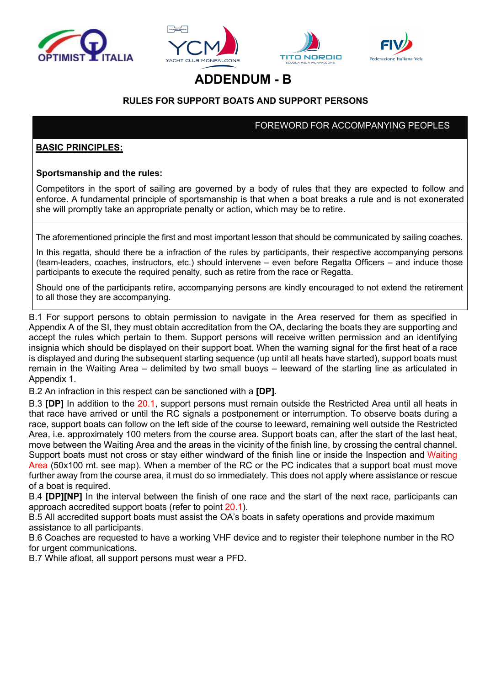





## **ADDENDUM - B**

## **RULES FOR SUPPORT BOATS AND SUPPORT PERSONS**

FOREWORD FOR ACCOMPANYING PEOPLES

#### **BASIC PRINCIPLES:**

#### **Sportsmanship and the rules:**

Competitors in the sport of sailing are governed by a body of rules that they are expected to follow and enforce. A fundamental principle of sportsmanship is that when a boat breaks a rule and is not exonerated she will promptly take an appropriate penalty or action, which may be to retire.

The aforementioned principle the first and most important lesson that should be communicated by sailing coaches.

In this regatta, should there be a infraction of the rules by participants, their respective accompanying persons (team-leaders, coaches, instructors, etc.) should intervene – even before Regatta Officers – and induce those participants to execute the required penalty, such as retire from the race or Regatta.

Should one of the participants retire, accompanying persons are kindly encouraged to not extend the retirement to all those they are accompanying.

B.1 For support persons to obtain permission to navigate in the Area reserved for them as specified in Appendix A of the SI, they must obtain accreditation from the OA, declaring the boats they are supporting and accept the rules which pertain to them. Support persons will receive written permission and an identifying insignia which should be displayed on their support boat. When the warning signal for the first heat of a race is displayed and during the subsequent starting sequence (up until all heats have started), support boats must remain in the Waiting Area – delimited by two small buoys – leeward of the starting line as articulated in Appendix 1.

B.2 An infraction in this respect can be sanctioned with a **[DP]**.

B.3 **[DP]** In addition to the 20.1, support persons must remain outside the Restricted Area until all heats in that race have arrived or until the RC signals a postponement or interrumption. To observe boats during a race, support boats can follow on the left side of the course to leeward, remaining well outside the Restricted Area, i.e. approximately 100 meters from the course area. Support boats can, after the start of the last heat, move between the Waiting Area and the areas in the vicinity of the finish line, by crossing the central channel. Support boats must not cross or stay either windward of the finish line or inside the Inspection and Waiting Area (50x100 mt. see map). When a member of the RC or the PC indicates that a support boat must move further away from the course area, it must do so immediately. This does not apply where assistance or rescue of a boat is required.

B.4 **[DP][NP]** In the interval between the finish of one race and the start of the next race, participants can approach accredited support boats (refer to point 20.1).

B.5 All accredited support boats must assist the OA's boats in safety operations and provide maximum assistance to all participants.

B.6 Coaches are requested to have a working VHF device and to register their telephone number in the RO for urgent communications.

B.7 While afloat, all support persons must wear a PFD.